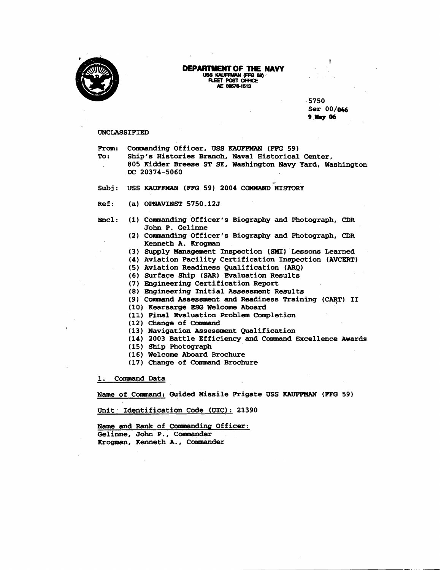

## **DEPARTMENT OF THE NAVY --wQ69 REETWBTORlCE**

**A€ 086181513** 

5750 **Ser 00/016 9-06** 

**1** 

## **UNCLASSIFIED**

From: Commanding Officer, USS **KAUFFMAN** (FFG 59) **To: Ship's Histories Branch, Naval Historical Center, 805 Kidder Breese ST SE, Washington Navy Yard, Washington DC 20374-5060** 

Subj: USS KAUFFMAN (FFG 59) 2004 COMMAND HISTORY

- **Ref:** (a) OPNAVINST 5750.12J
- **Encl: (1) Conmanding Officer's Biography and Photograph, CDR John P. Gelinne** 
	- **(2) Conmanding Officer's Biography and Photograph, CDR Kenneth A. Krogman**
	- **(3) Supply Management Inspection (SHf) Lessons Learned**
	- **(4) Aviation Facility Certification Inspection (AVCERT)**
	- **(5) Aviation Readiness Qualification IARQ)**
	- **(6) Surface Ship (SARI Evaluation Results**
	- **(7) Engineering Certification Report**
	- **(8) Engineering Initial Assessment Results**
	- (9) Command Assessment and Readiness Training (CART) II
	- **(10) Kearsarge ESG Welcome Aboard**
	- ( **11) Final Evaluation Problem Completion**
	- **(12) change of Cammand**
	- **(13) Navigation Assessment Qualification**
	- **(14) 2003 Battle Efficiency and Command Excellence Awards**
	- **(15) Ship Photograph**
	- **(16) Welcome Aboard Brochure**
	- **(17 1 Change of Camnand Brochure**

**1. Command Data** 

**Name of Command: Guided Missile Frigate USS KAUFFMAN (FFG 59)** 

**unit Identification Code (UIC): 21390** 

Name and Rank of Commanding Officer: **Gelinne** , **John P** . , **Conmander Krogpoan, Kenneth A., Conrmander**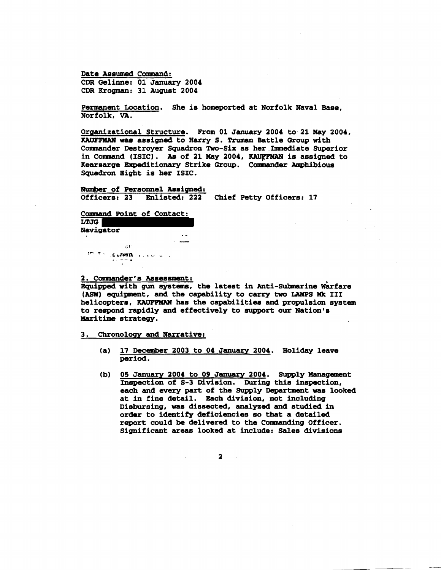**Date Assumed Command: CDR Gelinne: 01 January 2004 CDR Krograan: 31 Auguat 2004** 

**Permanent Location. She is homeported at Norfolk Naval Base, Norfolk, VA.** 

**Organizational Structure. From 01 January 2004 to. 21 May 2004, KAIFFMAN waa assigned to Harry S. Truman Battle Group with**  Commander Destroyer Squadron Two-Six as her Immediate Superior in Command (ISIC). As of 21 May 2004, KAUFFMAN is assigned to **Kearearge Expeditionary Strike Group. Carmwrnder Amphibious Squadron Eight is her ISIC.** 

**<u>Number of Personnel Assigned:</u><br>Officers: 23 Enlisted: 222 Chief Petty Officers: 17 Officers: 23 Enlisted: 222** 

**Command Point of Contact:** 

**LTJG** 

 $N$ avigator

 $\sim 0.12$ **IN THE GARDED ALASK WILL** 

2. Commander's Assessment:

Equipped with gun systems, the latest in Anti-Submarine Warfare **(ASW)** equipment, and the capability to carry two LAMPS Mk III **helicopters,** ICWFFWW **has the capabil1,tiea and propulsion system to respond rapidly and effectively to eugport our Nation's Maritime strategy.** 

**3. Chronology and Narrative:** 

- **(a) 17 December 2003 to 04 January 2004. Holiday leave period.**
- (b) 05 January 2004 to 09 January 2004. Supply Management **Inspection of 5-3 Division. During thls inspection, each and every part of the Supply Departmeat was looked at in fine detail. Each division, not including Disbursing, was diseected, analyzed and studied in order to identify deficiencies so that a detailed report could be delivered to the Comnanding Officer. Significant areas looked at include: Sales divisions**

 $\overline{\mathbf{a}}$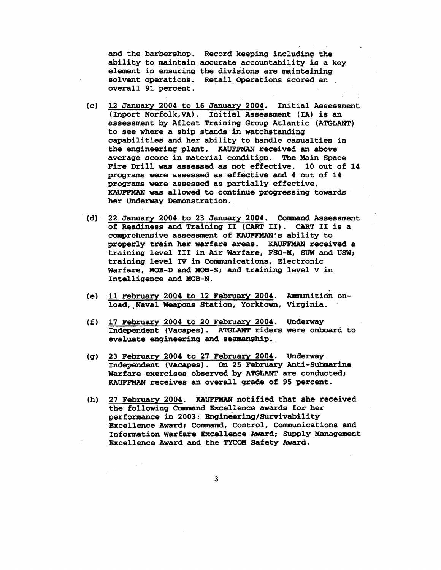**and the barbershop. Record keeping including the ability to maintain accurate accountability is a key element in ensuring the divisions are maintaining solvent operations. Retail Operations scored an overall 91 percent.** 

- **(c) 12 January 2004 to 16 January 2004. Initial Assessment (Inport Norfolk,VA). Initial Assessment (IA) is an assessment by Afloat Training Group Atlantic (ATGLANT) to see where a ship stands in watchstanding capabilities an8 her ability to handle casualties in the engineering plant. KAUFFMAN received an above average score in material conditipn. The Main Space Fire Drill was assessed as not effective. 10 out of 14 programs were assessed as effective** and **4 out of 14 programs were assessed as partially effective. KAUPFMAN was allowed to continue progressing towards her Underway Demonstration.**
- **(d) 22 January 2004 to 23 January 2004. Comand Assessment of Readiness and Training I1 (CART 11). CART I1 is a comprehensive asseasanent of KAUFFMAN's ability to properly train her warfare areas. KAUFFMAN received a training level I11 in Air Warfare, FSO-M,** SUW **and USW; training level IV in Camunications, Electronic Warfare, MOB-D and MOB-S;** and **training level** V **in Intelligence and MOB-N.**
- **(e) 11 February 2004 to 12 February 2004. Armmitioh onload, ,Naval Weagona Station, Yorktown, Virginia.**
- **(f) 17 February 2004 to 20 February 2004. Underway Independent (Vacapes). ATGLANT riders were onboard to evaluate engineering and seamanship.**
- **(g) 23 February 2004 to 27 February 2004. Underway Independent (Vacages). On 25 Febxuary Anti-Suharine Warfare exercises observed by AMtANT are conducted;**  KAUFFMAN **receives an overall grade of 95 percent.**
- (h) 27 February 2004. **KAUFFMAN** notified that she received **the following Conaaand Ekcellence awards for her performance in 2003: Engineering/Survivability Excellence Award; Command, Control, Communications and** Information Warfare Excellence Award; Supply Management **Excellence Award and the TYCOM Safety Award.**

 $3<sup>1</sup>$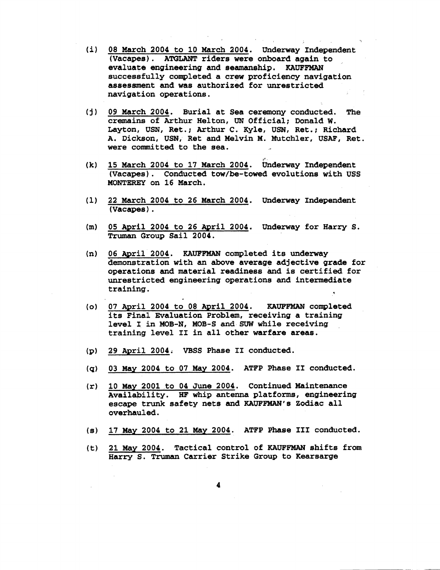- **08 March 2004 to 10 March 2004. Underway Independent**   $(i)$ **(Vacagea). AWLANT riders were onboard again to**  evaluate engineering and seamanship. **KAUFFMAN rsuccessfully completed a crew proficiency navigation assessment and was authorized for unrestricted navigation operations.**
- **09 March 2004. Burial at Sea ceremony conducted. The cremains of Arthur Helton, UN Official; Donald W. Layton, USW, Ret.; Arthur C. Kyle, USN, Ret.; Richard**  A, **Dickson, USN, Ret and Melvin M. Mutchler, USAF, Ret. were committed to the sea.**
- 15 March 2004 to 17 March 2004. Underway Independent  $(k)$ **(Vacapes). Conducted tow/be-towed evolutions with USS MONTEREX on 16 March.**
- $(1)$ **22 March 2004 to 26 March 2004. Underway Independent (Vacapes)** .
- **05 April 2004 to 26 April 2004. Underway for Harry S.**   $(m)$ Truman **Group Sail 2004.**
- $(n)$ **06 April 2004. KAUErFMAN completed its underway demonstration with an above average adjective grade for operations and material readiness-and is certiiied for unrestricted engineering operations an8 intermediate training.**
- **07 April 2004 to 08 April 2004. KAUFFMAN completed its Final Evaluation Problem, receiving a training level I in MOB-N, MOB-S and** *SUW* **while receiving training level I1 in all other warfare areas.**
- **29 April 2004; VBSS Phase I1 conducted.**   $(p)$
- **03 May 2004 to 07 May 2004. ATFP Phase 11 conducted.**   $\mathbf{q}$
- 10 May 2001 to 04 June 2004. Continued Maintenance  $(r)$ **Availability. HF whip antenna platforms, engineering**  escape trunk safety nets and KAUFFMAN's Zodiac all **overhauled.**
- **17 May 2004 to 21 May 2004.** ATFP **Phase I11 conducted.**
- **21 May 2004. Tactical control of KAUFFMAN shifts from Harry S. Truman Carrier Strike Group to Kearsarge**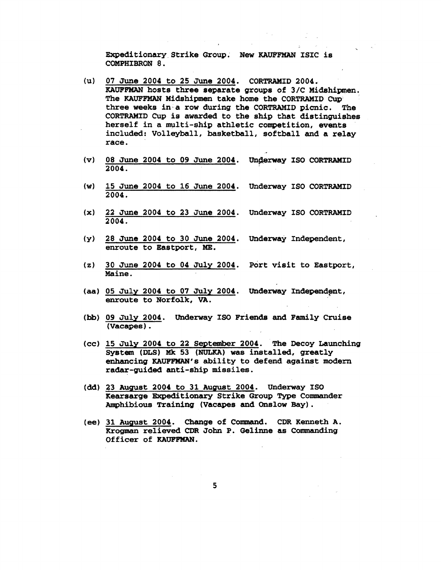**Expeditionary Strike Group. New KAUFFMAN** ISIC **is COMPHIBRON 8.** 

- **(u) 07 June 2004 to 25 June 2004.** CORTRAMID **2004. KAUFFMAN hosts three separate groups of 3/C Midshipen. The KAUFFMAN Midshipmen take home the** CORTRAMID **Cup three weeks in.a row during the** CORTRAMID **picnic. The**  CORTRAMID **Cup is awarded to the ship that distinguishes herself in a multi-ship athletic competition, events included: Volleyball, basketball, softball and a relay race.**
- (v) 08 June 2004 to 09 June 2004. Underway ISO CORTRAMID **2004.**
- **(w) 15 June 2004 to 16 June 2004. Underway** IS0 CORTRAMID **2004.**
- **(XI 22 June 2004 to 23 June 2004. Underway** IS0 CORTRAMID **2004.**
- **(y) 28 June 2004 to 30 June 2004. Underway Independent, enroute to Eastport, ME.**
- **(z) 30 June 2004 to 04 July 2004. port visit to Eastport, Maine.**
- (aa) 05 July 2004 to 07 July 2004. Underway Independent, **enroute to Norfolk, VA.**
- **(hb) 09 July 2004. Underway fSO Friends and Family Cruise (Vacapes).**
- **(CC) 15 July 2004 to 22 September 2004. The Decoy Launching Systean (DLS) Mk 53** (NULKA) **was installed, greatly enhancing KAUFFNAN's ability to defend against modern radar-guided anti-ship missiles.**
- **(dd) 23 August 2004 to 31 August 2004. Underway** IS0 **Kearsarge Expeditionary Strike Group Type Conaaander mhibious Training (Vacapes and Onslow Bay)** .
- (ee) 31 August 2004. Change of Command. CDR Kenneth A. **Krogman relieved CDR John P. Gelinne as Conmanding**  Officer **of KAUFFMAN.**

5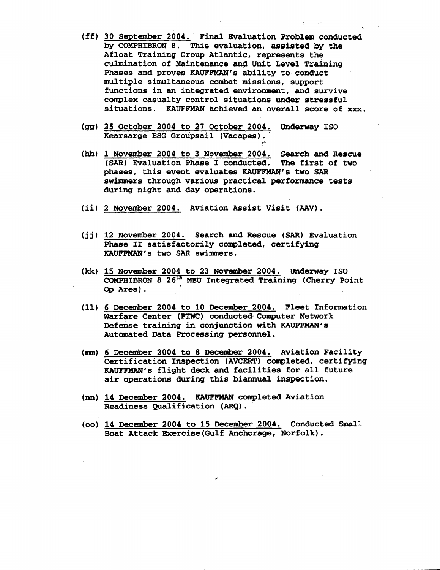- **30 September 2004. Final Evaluation Problem conducted by COMPHIBRON 8, This evaluation, assisted by the Afloat Training Group Atlantic, represents the culmination of Maintenance and Unit Level Training Phases and groves** *KAUFPMW1s* **ability to conduct multiple simultaneous combat missions, support functions in an integrated environment, and survive complex casualty control situations under stressful situations. KAUFF'MAN achieved an overall score of xxx.**
- **(gg) 25 October 2004 to 27 October 2004. Underway IS0 Kearsarge ESG Grougsail (Vacapes).** \*
- (hh) 1 November 2004 to 3 November 2004. Search and Rescue (SAR) Evaluation Phase I conducted. The first of two (SAR) Evaluation Phase I conducted. phases, this event evaluates KAUFFMAN's two SAR **swimmers through various practical performance tests during night and day operations.**
- **(ii) 2 November 2004. Aviation Assist Visit (AAV).**
- **(jj) 12 November 2004. Search and Rescue (SAR) Evaluation**  Phase II satisfactorily completed, certifying **KAUFFMAN's two SAR swimmers.**
- **(kk) 15 November 2004 to 23 November 2004. Underway IS0 COMPHIBRON 8 26- MEU Integrated Training (Cherry Point Og Area).**
- **(11) 6 December 2004 to 10 December 2004. Fleet Information**  Warfare Center (FIWC) conducted Computer Network **Defense training in conjunction with KAUFPMAN's Automated Data Processing personnel.**
- (rmn) **6 December 2004 to 8 December 2004. Aviation Facility Certification Inspection (AVCERT) conogleted, certifying**  KAUFFMAN's flight deck and facilities for all future **air operations during this biannual inspection.**
- $(\text{nn})$  14 December 2004. **KAUFFMAN** completed Aviation **Readiness Qualification (ARQ).**
- **(00) 14 December 2004 to 15 Decenber 2004. Conducted Small Boat Attack Bxercise(Gu1f Anchorage, Norfolk).**